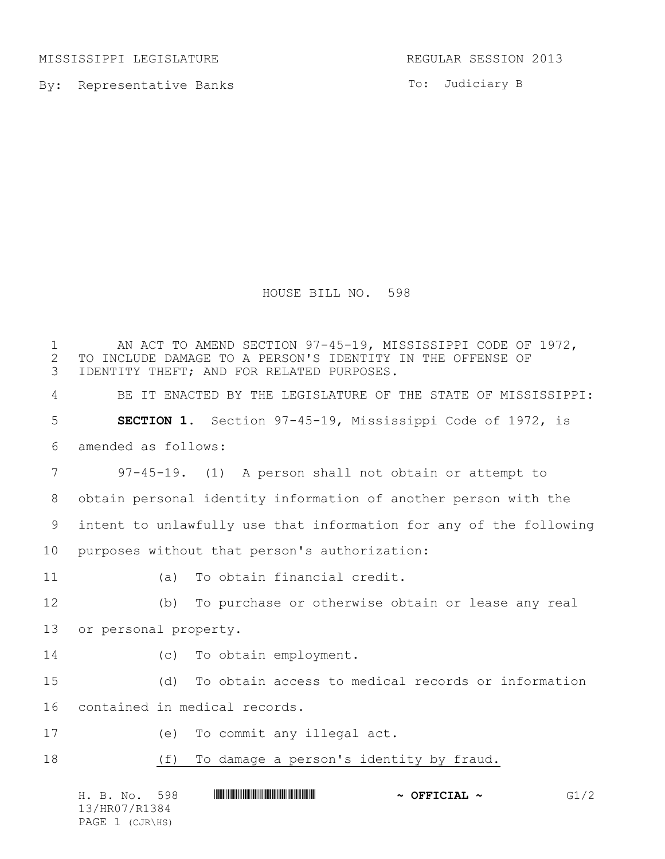MISSISSIPPI LEGISLATURE REGULAR SESSION 2013

By: Representative Banks

To: Judiciary B

HOUSE BILL NO. 598

 AN ACT TO AMEND SECTION 97-45-19, MISSISSIPPI CODE OF 1972, 2 TO INCLUDE DAMAGE TO A PERSON'S IDENTITY IN THE OFFENSE OF<br>3 IDENTITY THEFT; AND FOR RELATED PURPOSES. IDENTITY THEFT; AND FOR RELATED PURPOSES. BE IT ENACTED BY THE LEGISLATURE OF THE STATE OF MISSISSIPPI: **SECTION 1.** Section 97-45-19, Mississippi Code of 1972, is amended as follows: 97-45-19. (1) A person shall not obtain or attempt to obtain personal identity information of another person with the intent to unlawfully use that information for any of the following purposes without that person's authorization: (a) To obtain financial credit. (b) To purchase or otherwise obtain or lease any real or personal property. (c) To obtain employment. (d) To obtain access to medical records or information contained in medical records. (e) To commit any illegal act. (f) To damage a person's identity by fraud.

H. B. No. 598 \*HR07/R1384\* **~ OFFICIAL ~** G1/2 13/HR07/R1384 PAGE 1 (CJR\HS)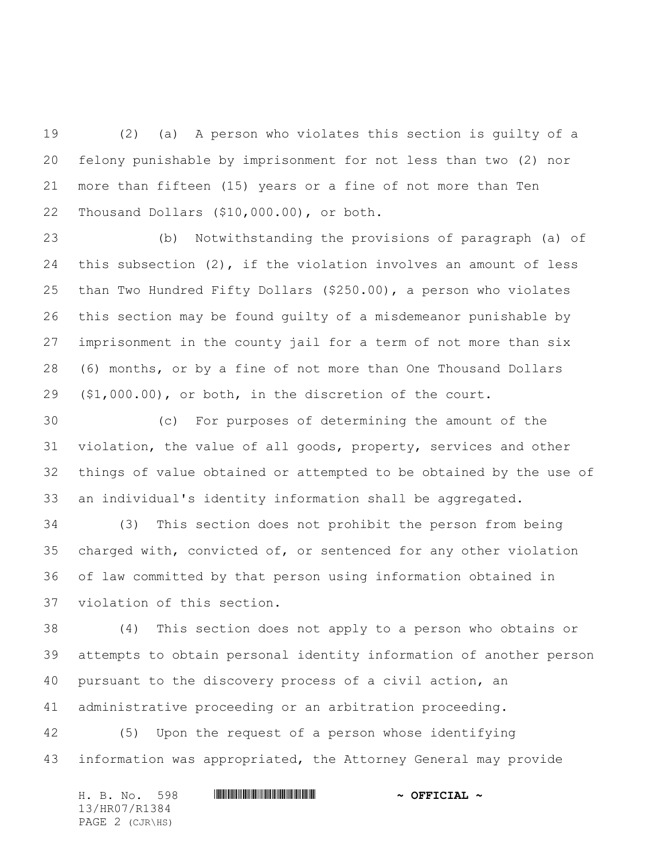(2) (a) A person who violates this section is guilty of a felony punishable by imprisonment for not less than two (2) nor more than fifteen (15) years or a fine of not more than Ten Thousand Dollars (\$10,000.00), or both.

 (b) Notwithstanding the provisions of paragraph (a) of this subsection (2), if the violation involves an amount of less than Two Hundred Fifty Dollars (\$250.00), a person who violates this section may be found guilty of a misdemeanor punishable by imprisonment in the county jail for a term of not more than six (6) months, or by a fine of not more than One Thousand Dollars (\$1,000.00), or both, in the discretion of the court.

 (c) For purposes of determining the amount of the violation, the value of all goods, property, services and other things of value obtained or attempted to be obtained by the use of an individual's identity information shall be aggregated.

 (3) This section does not prohibit the person from being charged with, convicted of, or sentenced for any other violation of law committed by that person using information obtained in violation of this section.

 (4) This section does not apply to a person who obtains or attempts to obtain personal identity information of another person pursuant to the discovery process of a civil action, an administrative proceeding or an arbitration proceeding.

 (5) Upon the request of a person whose identifying information was appropriated, the Attorney General may provide

| H. B. No. 598   | $\sim$ OFFICIAL $\sim$ |
|-----------------|------------------------|
| 13/HR07/R1384   |                        |
| PAGE 2 (CJR\HS) |                        |